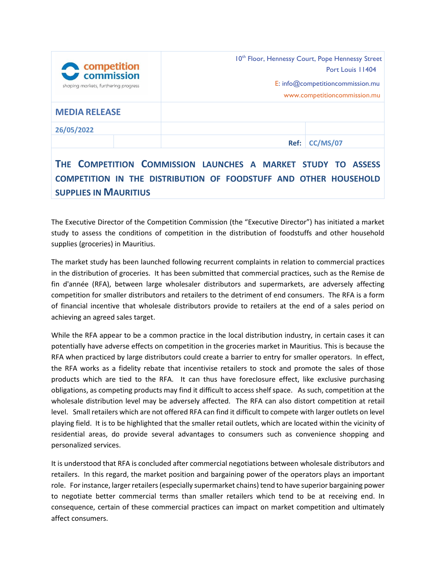| <b>A</b> competition<br>$\rightarrow$ commission<br>shaping markets, furthering progress |  | 10 <sup>th</sup> Floor, Hennessy Court, Pope Hennessy Street<br>Port Louis 11404<br>E: info@competitioncommission.mu<br>www.competitioncommission.mu |                 |
|------------------------------------------------------------------------------------------|--|------------------------------------------------------------------------------------------------------------------------------------------------------|-----------------|
| <b>MEDIA RELEASE</b>                                                                     |  |                                                                                                                                                      |                 |
| 26/05/2022                                                                               |  |                                                                                                                                                      |                 |
|                                                                                          |  | Ref:                                                                                                                                                 | <b>CC/MS/07</b> |
| THE COMPETITION COMMISSION LAUNCHES A MARKET STUDY<br><b>ASSESS</b>                      |  |                                                                                                                                                      |                 |

## **THE COMPETITION COMMISSION LAUNCHES A MARKET STUDY TO ASSESS COMPETITION IN THE DISTRIBUTION OF FOODSTUFF AND OTHER HOUSEHOLD SUPPLIES IN MAURITIUS**

The Executive Director of the Competition Commission (the "Executive Director") has initiated a market study to assess the conditions of competition in the distribution of foodstuffs and other household supplies (groceries) in Mauritius.

The market study has been launched following recurrent complaints in relation to commercial practices in the distribution of groceries. It has been submitted that commercial practices, such as the Remise de fin d'année (RFA), between large wholesaler distributors and supermarkets, are adversely affecting competition for smaller distributors and retailers to the detriment of end consumers. The RFA is a form of financial incentive that wholesale distributors provide to retailers at the end of a sales period on achieving an agreed sales target.

While the RFA appear to be a common practice in the local distribution industry, in certain cases it can potentially have adverse effects on competition in the groceries market in Mauritius. This is because the RFA when practiced by large distributors could create a barrier to entry for smaller operators. In effect, the RFA works as a fidelity rebate that incentivise retailers to stock and promote the sales of those products which are tied to the RFA. It can thus have foreclosure effect, like exclusive purchasing obligations, as competing products may find it difficult to access shelf space. As such, competition at the wholesale distribution level may be adversely affected. The RFA can also distort competition at retail level. Small retailers which are not offered RFA can find it difficult to compete with larger outlets on level playing field. It is to be highlighted that the smaller retail outlets, which are located within the vicinity of residential areas, do provide several advantages to consumers such as convenience shopping and personalized services.

It is understood that RFA is concluded after commercial negotiations between wholesale distributors and retailers. In this regard, the market position and bargaining power of the operators plays an important role. For instance, larger retailers (especially supermarket chains) tend to have superior bargaining power to negotiate better commercial terms than smaller retailers which tend to be at receiving end. In consequence, certain of these commercial practices can impact on market competition and ultimately affect consumers.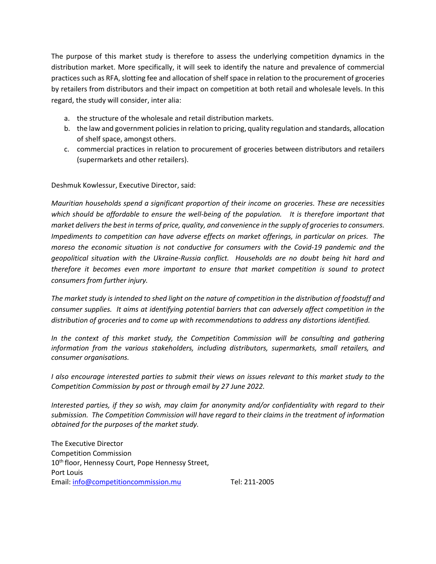The purpose of this market study is therefore to assess the underlying competition dynamics in the distribution market. More specifically, it will seek to identify the nature and prevalence of commercial practicessuch as RFA, slotting fee and allocation of shelf space in relation to the procurement of groceries by retailers from distributors and their impact on competition at both retail and wholesale levels. In this regard, the study will consider, inter alia:

- a. the structure of the wholesale and retail distribution markets.
- b. the law and government policies in relation to pricing, quality regulation and standards, allocation of shelf space, amongst others.
- c. commercial practices in relation to procurement of groceries between distributors and retailers (supermarkets and other retailers).

Deshmuk Kowlessur, Executive Director, said:

*Mauritian households spend a significant proportion of their income on groceries. These are necessities which should be affordable to ensure the well-being of the population. It is therefore important that market deliversthe best in terms of price, quality, and convenience in the supply of groceries to consumers. Impediments to competition can have adverse effects on market offerings, in particular on prices. The moreso the economic situation is not conductive for consumers with the Covid-19 pandemic and the geopolitical situation with the Ukraine-Russia conflict. Households are no doubt being hit hard and therefore it becomes even more important to ensure that market competition is sound to protect consumers from further injury.*

*The market study is intended to shed light on the nature of competition in the distribution of foodstuff and consumer supplies. It aims at identifying potential barriers that can adversely affect competition in the distribution of groceries and to come up with recommendations to address any distortions identified.* 

*In the context of this market study, the Competition Commission will be consulting and gathering information from the various stakeholders, including distributors, supermarkets, small retailers, and consumer organisations.* 

*I also encourage interested parties to submit their views on issues relevant to this market study to the Competition Commission by post or through email by 27 June 2022.*

*Interested parties, if they so wish, may claim for anonymity and/or confidentiality with regard to their submission. The Competition Commission will have regard to their claims in the treatment of information obtained for the purposes of the market study.*

The Executive Director Competition Commission 10<sup>th</sup> floor, Hennessy Court, Pope Hennessy Street, Port Louis Email: [info@competitioncommission.mu](mailto:info@competitioncommission.mu) Tel: 211-2005